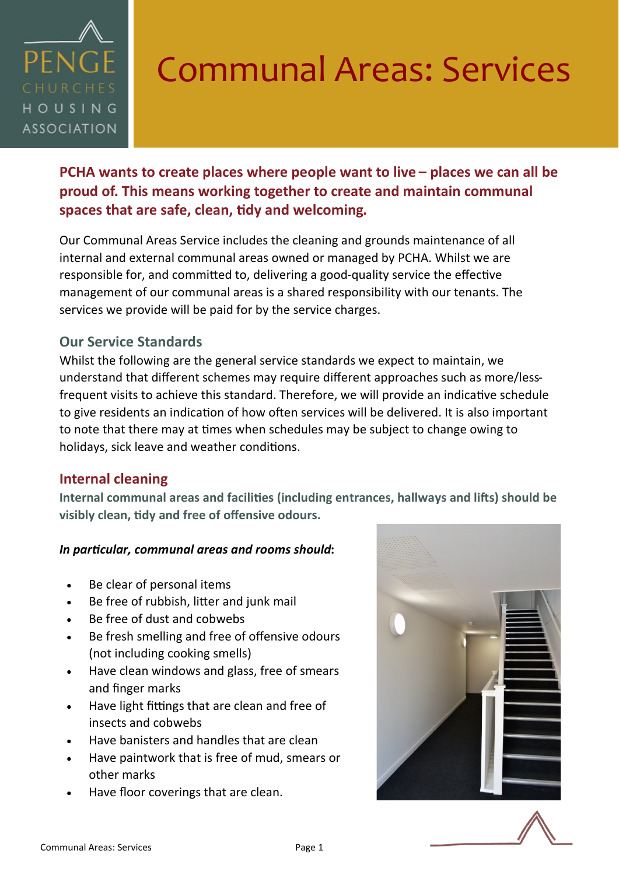

# Communal Areas: Services

**PCHA wants to create places where people want to live – places we can all be proud of. This means working together to create and maintain communal spaces that are safe, clean, tidy and welcoming.** 

Our Communal Areas Service includes the cleaning and grounds maintenance of all internal and external communal areas owned or managed by PCHA. Whilst we are responsible for, and committed to, delivering a good-quality service the effective management of our communal areas is a shared responsibility with our tenants. The services we provide will be paid for by the service charges.

## **Our Service Standards**

Whilst the following are the general service standards we expect to maintain, we understand that different schemes may require different approaches such as more/lessfrequent visits to achieve this standard. Therefore, we will provide an indicative schedule to give residents an indication of how often services will be delivered. It is also important to note that there may at times when schedules may be subject to change owing to holidays, sick leave and weather conditions.

## **Internal cleaning**

**Internal communal areas and facilities (including entrances, hallways and lifts) should be visibly clean, tidy and free of offensive odours.** 

### *In particular, communal areas and rooms should***:**

- Be clear of personal items
- Be free of rubbish, litter and junk mail
- Be free of dust and cobwebs
- Be fresh smelling and free of offensive odours (not including cooking smells)
- Have clean windows and glass, free of smears and finger marks
- Have light fittings that are clean and free of insects and cobwebs
- Have banisters and handles that are clean
- Have paintwork that is free of mud, smears or other marks
- Have floor coverings that are clean.

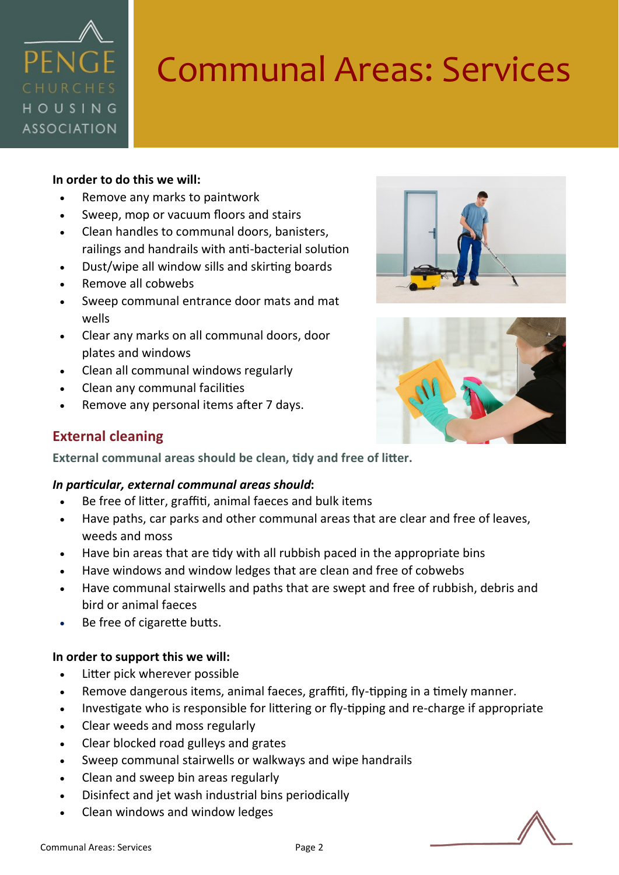

# Communal Areas: Services

#### **In order to do this we will:**

- Remove any marks to paintwork
- Sweep, mop or vacuum floors and stairs
- Clean handles to communal doors, banisters, railings and handrails with anti-bacterial solution
- Dust/wipe all window sills and skirting boards
- Remove all cobwebs
- Sweep communal entrance door mats and mat wells
- Clear any marks on all communal doors, door plates and windows
- Clean all communal windows regularly
- Clean any communal facilities
- Remove any personal items after 7 days.





### **External cleaning**

**External communal areas should be clean, tidy and free of litter.**

#### *In particular, external communal areas should***:**

- Be free of litter, graffiti, animal faeces and bulk items
- Have paths, car parks and other communal areas that are clear and free of leaves, weeds and moss
- Have bin areas that are tidy with all rubbish paced in the appropriate bins
- Have windows and window ledges that are clean and free of cobwebs
- Have communal stairwells and paths that are swept and free of rubbish, debris and bird or animal faeces
- Be free of cigarette butts.

#### **In order to support this we will:**

- Litter pick wherever possible
- Remove dangerous items, animal faeces, graffiti, fly-tipping in a timely manner.
- Investigate who is responsible for littering or fly-tipping and re-charge if appropriate
- Clear weeds and moss regularly
- Clear blocked road gulleys and grates
- Sweep communal stairwells or walkways and wipe handrails
- Clean and sweep bin areas regularly
- Disinfect and jet wash industrial bins periodically
- Clean windows and window ledges